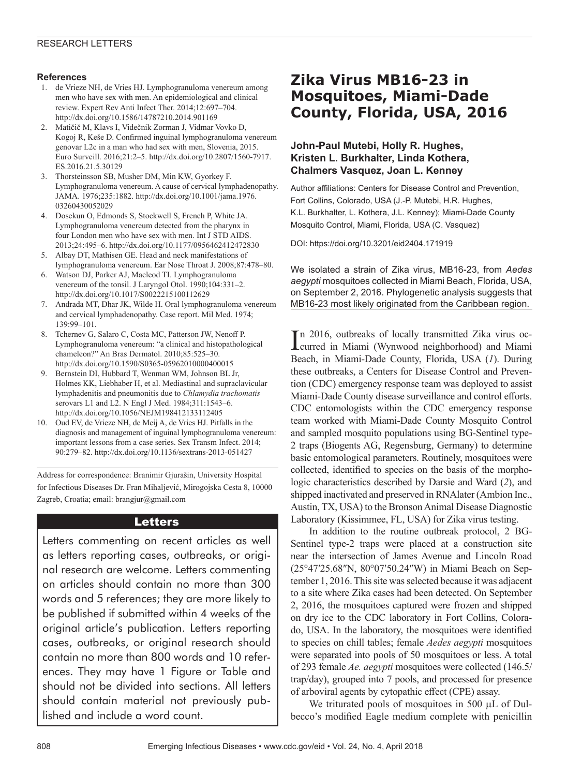#### **References**

- 1. de Vrieze NH, de Vries HJ. Lymphogranuloma venereum among men who have sex with men. An epidemiological and clinical review. Expert Rev Anti Infect Ther. 2014;12:697–704. http://dx.doi.org/10.1586/14787210.2014.901169
- 2. Matičič M, Klavs I, Videčnik Zorman J, Vidmar Vovko D, Kogoj R, Keše D. Confirmed inguinal lymphogranuloma venereum genovar L2c in a man who had sex with men, Slovenia, 2015. Euro Surveill. 2016;21:2–5. http://dx.doi.org/10.2807/1560-7917. ES.2016.21.5.30129
- 3. Thorsteinsson SB, Musher DM, Min KW, Gyorkey F. Lymphogranuloma venereum. A cause of cervical lymphadenopathy. JAMA. 1976;235:1882. http://dx.doi.org/10.1001/jama.1976. 03260430052029
- 4. Dosekun O, Edmonds S, Stockwell S, French P, White JA. Lymphogranuloma venereum detected from the pharynx in four London men who have sex with men. Int J STD AIDS. 2013;24:495–6. http://dx.doi.org/10.1177/0956462412472830
- 5. Albay DT, Mathisen GE. Head and neck manifestations of lymphogranuloma venereum. Ear Nose Throat J. 2008;87:478–80.
- 6. Watson DJ, Parker AJ, Macleod TI. Lymphogranuloma venereum of the tonsil. J Laryngol Otol. 1990;104:331–2. http://dx.doi.org/10.1017/S0022215100112629
- 7. Andrada MT, Dhar JK, Wilde H. Oral lymphogranuloma venereum and cervical lymphadenopathy. Case report. Mil Med. 1974; 139:99–101.
- 8. Tchernev G, Salaro C, Costa MC, Patterson JW, Nenoff P. Lymphogranuloma venereum: "a clinical and histopathological chameleon?" An Bras Dermatol. 2010;85:525–30. http://dx.doi.org/10.1590/S0365-05962010000400015
- 9. Bernstein DI, Hubbard T, Wenman WM, Johnson BL Jr, Holmes KK, Liebhaber H, et al. Mediastinal and supraclavicular lymphadenitis and pneumonitis due to *Chlamydia trachomatis* serovars L1 and L2. N Engl J Med. 1984;311:1543–6. http://dx.doi.org/10.1056/NEJM198412133112405
- 10. Oud EV, de Vrieze NH, de Meij A, de Vries HJ. Pitfalls in the diagnosis and management of inguinal lymphogranuloma venereum: important lessons from a case series. Sex Transm Infect. 2014; 90:279–82. http://dx.doi.org/10.1136/sextrans-2013-051427

Address for correspondence: Branimir Gjurašin, University Hospital for Infectious Diseases Dr. Fran Mihaljević, Mirogojska Cesta 8, 10000 Zagreb, Croatia; email: brangjur@gmail.com

## Letters

Letters commenting on recent articles as well as letters reporting cases, outbreaks, or original research are welcome. Letters commenting on articles should contain no more than 300 words and 5 references; they are more likely to be published if submitted within 4 weeks of the original article's publication. Letters reporting cases, outbreaks, or original research should contain no more than 800 words and 10 references. They may have 1 Figure or Table and should not be divided into sections. All letters should contain material not previously published and include a word count.

# **Zika Virus MB16-23 in Mosquitoes, Miami-Dade County, Florida, USA, 2016**

## **John-Paul Mutebi, Holly R. Hughes, Kristen L. Burkhalter, Linda Kothera, Chalmers Vasquez, Joan L. Kenney**

Author affiliations: Centers for Disease Control and Prevention, Fort Collins, Colorado, USA (J.-P. Mutebi, H.R. Hughes, K.L. Burkhalter, L. Kothera, J.L. Kenney); Miami-Dade County Mosquito Control, Miami, Florida, USA (C. Vasquez)

DOI: https://doi.org/10.3201/eid2404.171919

We isolated a strain of Zika virus, MB16-23, from *Aedes aegypti* mosquitoes collected in Miami Beach, Florida, USA, on September 2, 2016. Phylogenetic analysis suggests that MB16-23 most likely originated from the Caribbean region.

In 2016, outbreaks of locally transmitted Zika virus oc-<br>
curred in Miami (Wynwood neighborhood) and Miami curred in Miami (Wynwood neighborhood) and Miami Beach, in Miami-Dade County, Florida, USA (*1*). During these outbreaks, a Centers for Disease Control and Prevention (CDC) emergency response team was deployed to assist Miami-Dade County disease surveillance and control efforts. CDC entomologists within the CDC emergency response team worked with Miami-Dade County Mosquito Control and sampled mosquito populations using BG-Sentinel type-2 traps (Biogents AG, Regensburg, Germany) to determine basic entomological parameters. Routinely, mosquitoes were collected, identified to species on the basis of the morphologic characteristics described by Darsie and Ward (*2*), and shipped inactivated and preserved in RNAlater (Ambion Inc., Austin, TX, USA) to the Bronson Animal Disease Diagnostic Laboratory (Kissimmee, FL, USA) for Zika virus testing.

In addition to the routine outbreak protocol, 2 BG-Sentinel type-2 traps were placed at a construction site near the intersection of James Avenue and Lincoln Road (25°47′25.68″N, 80°07′50.24″W) in Miami Beach on September 1, 2016. This site was selected because it was adjacent to a site where Zika cases had been detected. On September 2, 2016, the mosquitoes captured were frozen and shipped on dry ice to the CDC laboratory in Fort Collins, Colorado, USA. In the laboratory, the mosquitoes were identified to species on chill tables; female *Aedes aegypti* mosquitoes were separated into pools of 50 mosquitoes or less. A total of 293 female *Ae. aegypti* mosquitoes were collected (146.5/ trap/day), grouped into 7 pools, and processed for presence of arboviral agents by cytopathic effect (CPE) assay.

We triturated pools of mosquitoes in 500 µL of Dulbecco's modified Eagle medium complete with penicillin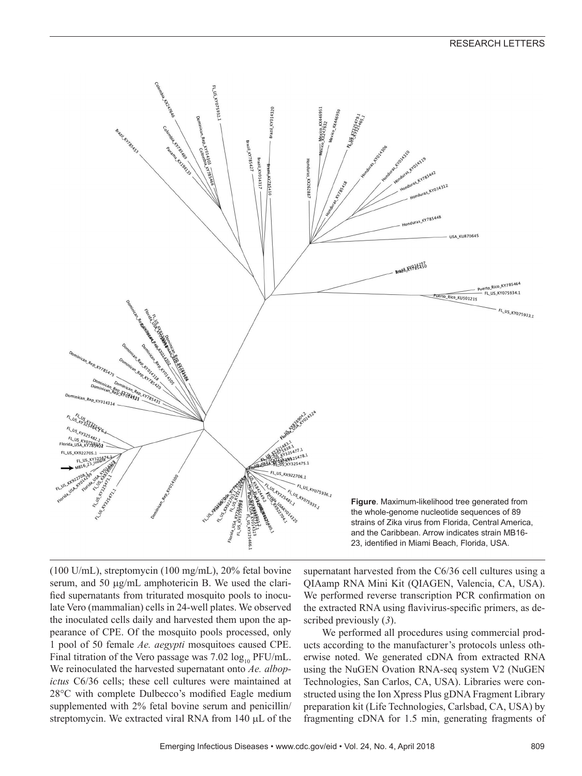

(100 U/mL), streptomycin (100 mg/mL), 20% fetal bovine serum, and 50 µg/mL amphotericin B. We used the clarified supernatants from triturated mosquito pools to inoculate Vero (mammalian) cells in 24-well plates. We observed the inoculated cells daily and harvested them upon the appearance of CPE. Of the mosquito pools processed, only 1 pool of 50 female *Ae. aegypti* mosquitoes caused CPE. Final titration of the Vero passage was  $7.02 \log_{10} PFU/mL$ . We reinoculated the harvested supernatant onto *Ae. albopictus* C6/36 cells; these cell cultures were maintained at 28°C with complete Dulbecco's modified Eagle medium supplemented with 2% fetal bovine serum and penicillin/ streptomycin. We extracted viral RNA from 140 µL of the

supernatant harvested from the C6/36 cell cultures using a QIAamp RNA Mini Kit (QIAGEN, Valencia, CA, USA). We performed reverse transcription PCR confirmation on the extracted RNA using flavivirus-specific primers, as described previously (*3*).

We performed all procedures using commercial products according to the manufacturer's protocols unless otherwise noted. We generated cDNA from extracted RNA using the NuGEN Ovation RNA-seq system V2 (NuGEN Technologies, San Carlos, CA, USA). Libraries were constructed using the Ion Xpress Plus gDNA Fragment Library preparation kit (Life Technologies, Carlsbad, CA, USA) by fragmenting cDNA for 1.5 min, generating fragments of